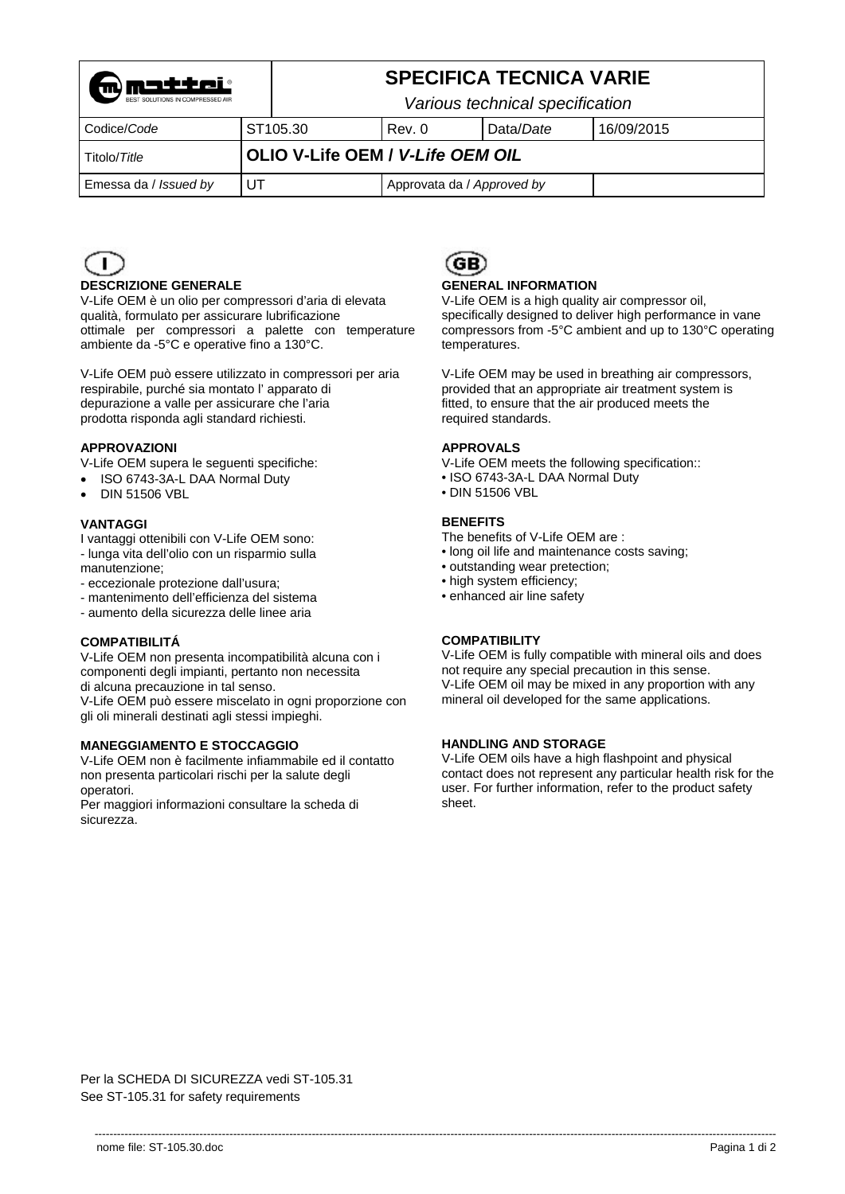

# **SPECIFICA TECNICA VARIE**

*Various technical specification* 

| Codice/Code           | ST <sub>105.30</sub> | Rev. 0                           | Data/Date | 16/09/2015 |
|-----------------------|----------------------|----------------------------------|-----------|------------|
| Titolo/Title          |                      | OLIO V-Life OEM / V-Life OEM OIL |           |            |
| Emessa da / Issued by |                      | Approvata da / Approved by       |           |            |



#### **DESCRIZIONE GENERALE**

V-Life OEM è un olio per compressori d'aria di elevata qualità, formulato per assicurare lubrificazione ottimale per compressori a palette con temperature ambiente da -5°C e operative fino a 130°C.

V-Life OEM può essere utilizzato in compressori per aria respirabile, purché sia montato l' apparato di depurazione a valle per assicurare che l'aria prodotta risponda agli standard richiesti.

#### **APPROVAZIONI**

V-Life OEM supera le seguenti specifiche:

- ISO 6743-3A-L DAA Normal Duty
- DIN 51506 VBL

#### **VANTAGGI**

I vantaggi ottenibili con V-Life OEM sono:

- lunga vita dell'olio con un risparmio sulla manutenzione;
- eccezionale protezione dall'usura;
- mantenimento dell'efficienza del sistema
- aumento della sicurezza delle linee aria

#### **COMPATIBILITÁ**

V-Life OEM non presenta incompatibilità alcuna con i componenti degli impianti, pertanto non necessita di alcuna precauzione in tal senso.

V-Life OEM può essere miscelato in ogni proporzione con gli oli minerali destinati agli stessi impieghi.

#### **MANEGGIAMENTO E STOCCAGGIO**

V-Life OEM non è facilmente infiammabile ed il contatto non presenta particolari rischi per la salute degli operatori.

Per maggiori informazioni consultare la scheda di sicurezza.



#### **GENERAL INFORMATION**

V-Life OEM is a high quality air compressor oil, specifically designed to deliver high performance in vane compressors from -5°C ambient and up to 130°C operating temperatures.

V-Life OEM may be used in breathing air compressors, provided that an appropriate air treatment system is fitted, to ensure that the air produced meets the required standards.

#### **APPROVALS**

V-Life OEM meets the following specification::

- ISO 6743-3A-L DAA Normal Duty
- DIN 51506 VBL

#### **BENEFITS**

The benefits of V-Life OEM are :

- long oil life and maintenance costs saving;
- outstanding wear pretection;
- high system efficiency;
- enhanced air line safety

#### **COMPATIBILITY**

V-Life OEM is fully compatible with mineral oils and does not require any special precaution in this sense. V-Life OEM oil may be mixed in any proportion with any mineral oil developed for the same applications.

#### **HANDLING AND STORAGE**

V-Life OEM oils have a high flashpoint and physical contact does not represent any particular health risk for the user. For further information, refer to the product safety sheet.

Per la SCHEDA DI SICUREZZA vedi ST-105.31 See ST-105.31 for safety requirements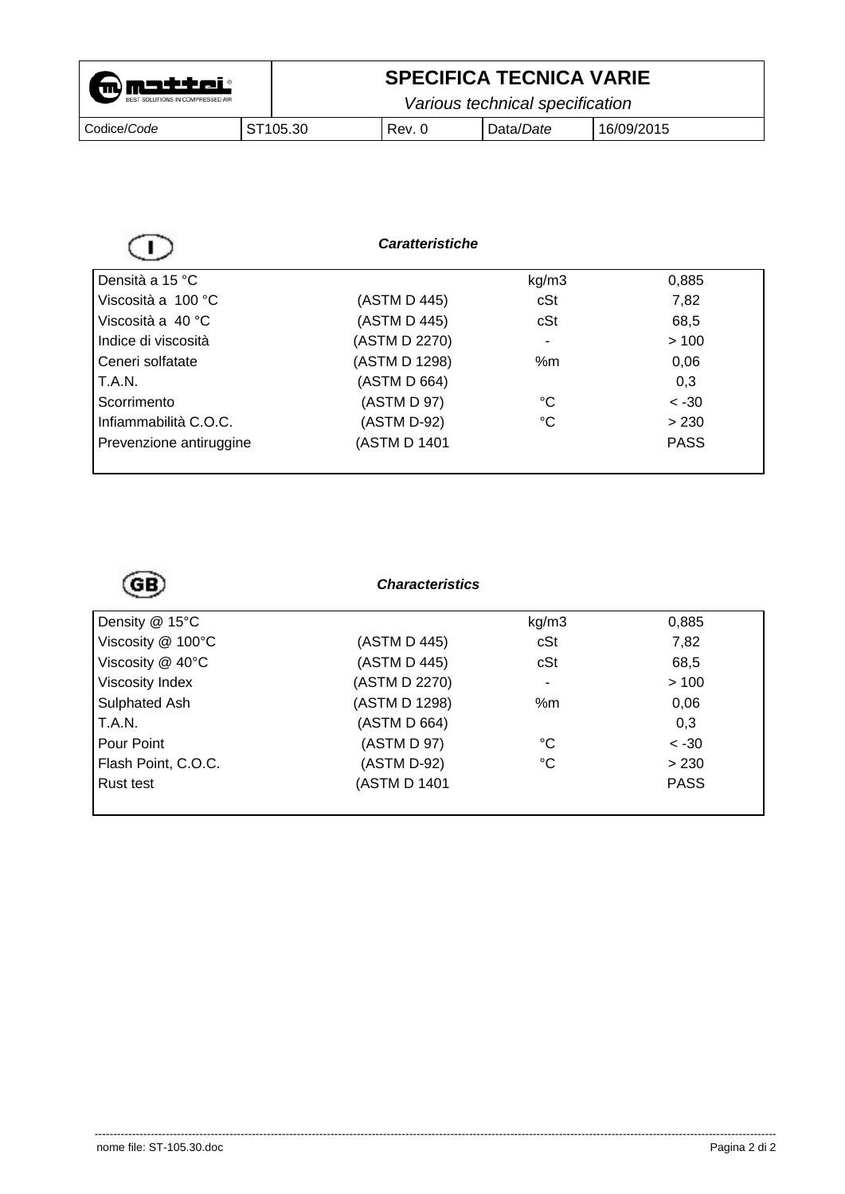| <b>m</b> matter                  |  | <b>SPECIFICA TECNICA VARIE</b> |                                 |           |            |
|----------------------------------|--|--------------------------------|---------------------------------|-----------|------------|
| BEST SOLUTIONS IN COMPRESSED AIR |  |                                | Various technical specification |           |            |
| Codice/Code                      |  | ST <sub>105.30</sub>           | l Rev. 0                        | Data/Date | 16/09/2015 |

|                         | <b>Caratteristiche</b> |       |             |
|-------------------------|------------------------|-------|-------------|
| Densità a 15 °C         |                        | kg/m3 | 0,885       |
| Viscosità a 100 °C      | (ASTM D 445)           | cSt   | 7,82        |
| Viscosità a 40 °C       | (ASTM D 445)           | cSt   | 68,5        |
| Indice di viscosità     | (ASTM D 2270)          | ۰     | >100        |
| Ceneri solfatate        | (ASTM D 1298)          | % $m$ | 0,06        |
| T.A.N.                  | (ASTM D 664)           |       | 0,3         |
| Scorrimento             | (ASTM D 97)            | °C    | $~<$ -30    |
| Infiammabilità C.O.C.   | (ASTM D-92)            | °C    | > 230       |
| Prevenzione antiruggine | (ASTM D 1401           |       | <b>PASS</b> |

# *Characteristics*

| Density @ 15°C      |               | kg/m3                    | 0,885       |
|---------------------|---------------|--------------------------|-------------|
| Viscosity @ 100°C   | (ASTM D 445)  | cSt                      | 7,82        |
| Viscosity @ 40°C    | (ASTM D 445)  | cSt                      | 68,5        |
| Viscosity Index     | (ASTM D 2270) | $\overline{\phantom{a}}$ | >100        |
| Sulphated Ash       | (ASTM D 1298) | % $m$                    | 0,06        |
| T.A.N.              | (ASTM D 664)  |                          | 0,3         |
| Pour Point          | (ASTM D 97)   | °C                       | $< -30$     |
| Flash Point, C.O.C. | (ASTM D-92)   | $^{\circ}C$              | > 230       |
| Rust test           | (ASTM D 1401  |                          | <b>PASS</b> |
|                     |               |                          |             |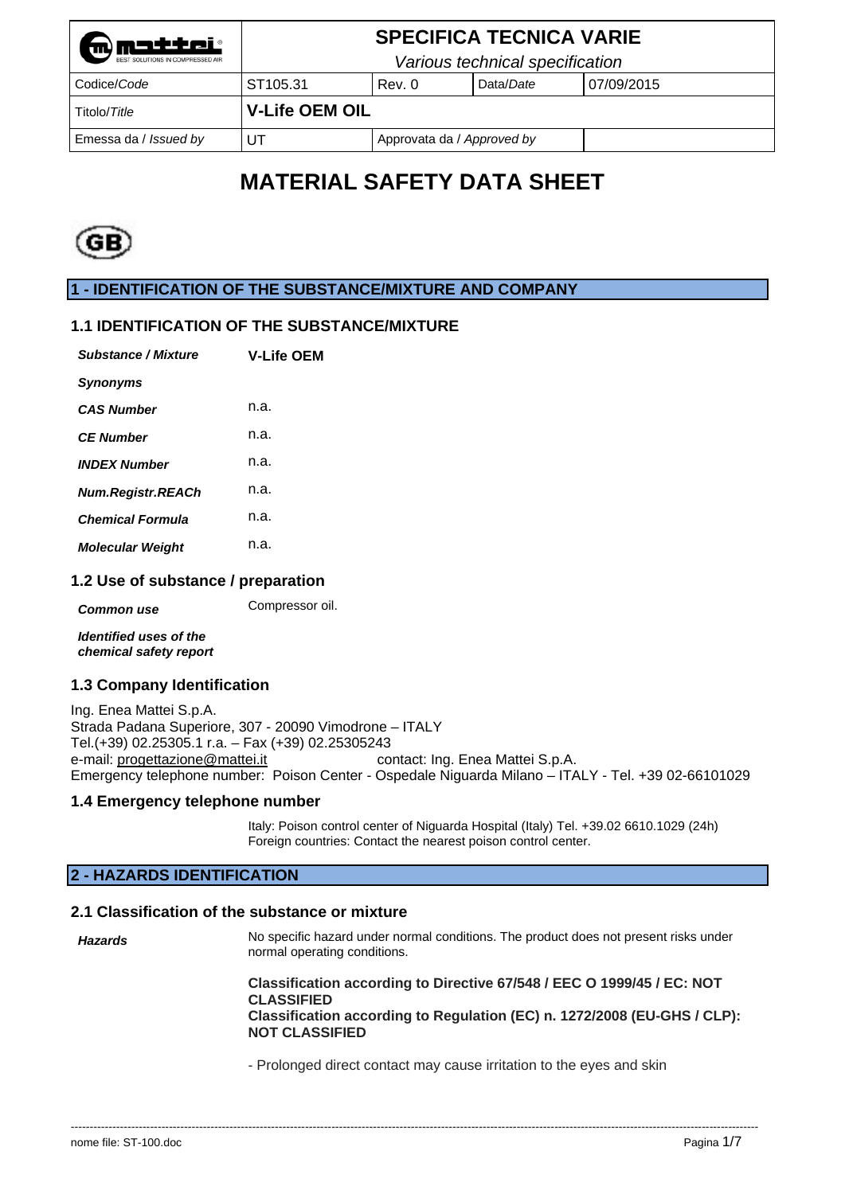| mmetter                          |                       |        | <b>SPECIFICA TECNICA VARIE</b>  |            |  |
|----------------------------------|-----------------------|--------|---------------------------------|------------|--|
| BEST SOLUTIONS IN COMPRESSED AIR |                       |        | Various technical specification |            |  |
| Codice/Code                      | ST105.31              | Rev. 0 | Data/Date                       | 07/09/2015 |  |
| Titolo/Title                     | <b>V-Life OEM OIL</b> |        |                                 |            |  |
| Emessa da / Issued by            | UT                    |        | Approvata da / Approved by      |            |  |

# **MATERIAL SAFETY DATA SHEET**



**1 - IDENTIFICATION OF THE SUBSTANCE/MIXTURE AND COMPANY** 

# **1.1 IDENTIFICATION OF THE SUBSTANCE/MIXTURE**

| Substance / Mixture      | <b>V-Life OEM</b> |
|--------------------------|-------------------|
| <b>Synonyms</b>          |                   |
| <b>CAS Number</b>        | n.a.              |
| <b>CF Number</b>         | n.a.              |
| <b>INDEX Number</b>      | n.a.              |
| <b>Num.Registr.REACh</b> | n.a.              |
| <b>Chemical Formula</b>  | n.a.              |
| <b>Molecular Weight</b>  | n.a.              |

### **1.2 Use of substance / preparation**

**Common use Compressor oil.** 

*Identified uses of the chemical safety report* 

#### **1.3 Company Identification**

Ing. Enea Mattei S.p.A. Strada Padana Superiore, 307 - 20090 Vimodrone – ITALY Tel.(+39) 02.25305.1 r.a. – Fax (+39) 02.25305243 contact: Ing. Enea Mattei S.p.A. Emergency telephone number: Poison Center *-* Ospedale Niguarda Milano – ITALY - Tel. +39 02-66101029

#### **1.4 Emergency telephone number**

Italy: Poison control center of Niguarda Hospital (Italy) Tel. +39.02 6610.1029 (24h) Foreign countries: Contact the nearest poison control center.

# **2 - HAZARDS IDENTIFICATION**

# **2.1 Classification of the substance or mixture**

| Hazards | No specific hazard under normal conditions. The product does not present risks under<br>normal operating conditions.                                                                             |
|---------|--------------------------------------------------------------------------------------------------------------------------------------------------------------------------------------------------|
|         | Classification according to Directive 67/548 / EEC O 1999/45 / EC: NOT<br><b>CLASSIFIED</b><br>Classification according to Regulation (EC) n. 1272/2008 (EU-GHS / CLP):<br><b>NOT CLASSIFIED</b> |

--------------------------------------------------------------------------------------------------------------------------------------------------------------------------------------

- Prolonged direct contact may cause irritation to the eyes and skin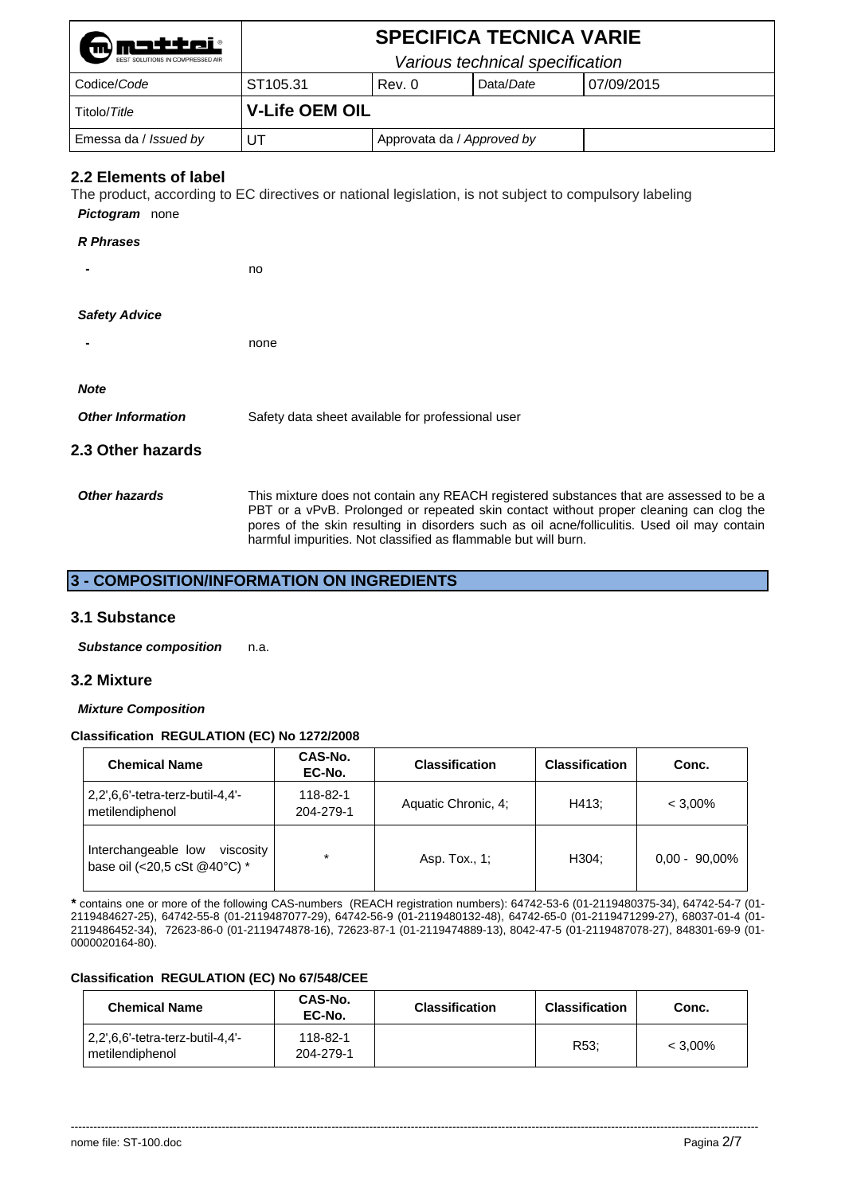| mmatter                          | <b>SPECIFICA TECNICA VARIE</b> |                            |                                 |            |  |
|----------------------------------|--------------------------------|----------------------------|---------------------------------|------------|--|
| BEST SOLUTIONS IN COMPRESSED AIR |                                |                            | Various technical specification |            |  |
| Codice/Code                      | ST105.31                       | Rev. 0                     | Data/Date                       | 07/09/2015 |  |
| Titolo/Title                     | <b>V-Life OEM OIL</b>          |                            |                                 |            |  |
| Emessa da / Issued by            | UT                             | Approvata da / Approved by |                                 |            |  |

# **2.2 Elements of label**

The product, according to EC directives or national legislation, is not subject to compulsory labeling

*Pictogram* none

#### *R Phrases*

**-** no

#### *Safety Advice*

**-** none

#### *Note*

| <b>Other Information</b> | Safety data sheet available for professional user |
|--------------------------|---------------------------------------------------|
|--------------------------|---------------------------------------------------|

# **2.3 Other hazards**

Other hazards **This mixture does not contain any REACH registered substances that are assessed to be a** PBT or a vPvB. Prolonged or repeated skin contact without proper cleaning can clog the pores of the skin resulting in disorders such as oil acne/folliculitis. Used oil may contain harmful impurities. Not classified as flammable but will burn.

# **3 - COMPOSITION/INFORMATION ON INGREDIENTS**

#### **3.1 Substance**

*Substance composition* n.a.

#### **3.2 Mixture**

#### *Mixture Composition*

#### **Classification REGULATION (EC) No 1272/2008**

| <b>Chemical Name</b>                                             | CAS-No.<br>EC-No.     | <b>Classification</b> | <b>Classification</b> | Conc.            |
|------------------------------------------------------------------|-----------------------|-----------------------|-----------------------|------------------|
| $2,2',6,6'-tetra-terz-butil-4,4'-$<br>metilendiphenol            | 118-82-1<br>204-279-1 | Aquatic Chronic, 4:   | H413:                 | $< 3.00\%$       |
| Interchangeable low<br>viscosity<br>base oil (<20,5 cSt @40°C) * | $\star$               | Asp. Tox., 1;         | H304:                 | $0.00 - 90.00\%$ |

*\** contains one or more of the following CAS-numbers (REACH registration numbers): 64742-53-6 (01-2119480375-34), 64742-54-7 (01- 2119484627-25), 64742-55-8 (01-2119487077-29), 64742-56-9 (01-2119480132-48), 64742-65-0 (01-2119471299-27), 68037-01-4 (01- 2119486452-34), 72623-86-0 (01-2119474878-16), 72623-87-1 (01-2119474889-13), 8042-47-5 (01-2119487078-27), 848301-69-9 (01- 0000020164-80).

#### **Classification REGULATION (EC) No 67/548/CEE**

| <b>Chemical Name</b>                                  | CAS-No.<br>EC-No.     | <b>Classification</b> | <b>Classification</b> | Conc.      |
|-------------------------------------------------------|-----------------------|-----------------------|-----------------------|------------|
| l 2,2',6,6'-tetra-terz-butil-4,4'-<br>metilendiphenol | 118-82-1<br>204-279-1 |                       | R <sub>53</sub> :     | $< 3.00\%$ |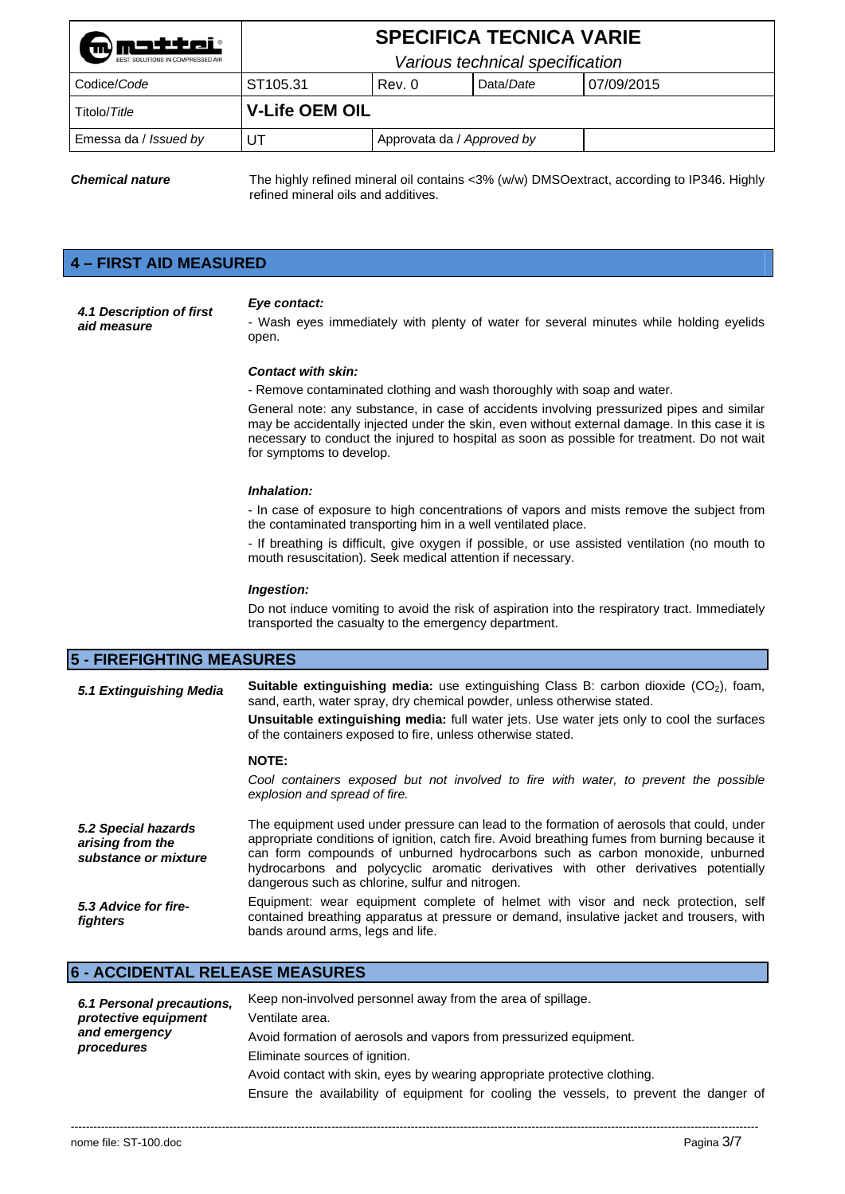| matter<br>BEST SOLUTIONS IN COMPRESSED AIR |                                 |                            | <b>SPECIFICA TECNICA VARIE</b> |            |
|--------------------------------------------|---------------------------------|----------------------------|--------------------------------|------------|
|                                            | Various technical specification |                            |                                |            |
| Codice/Code                                | ST <sub>105.31</sub>            | Rev. 0                     | Data/Date                      | 07/09/2015 |
| Titolo/Title                               | <b>V-Life OEM OIL</b>           |                            |                                |            |
| Emessa da / Issued by                      | UT                              | Approvata da / Approved by |                                |            |

*Chemical nature* The highly refined mineral oil contains <3% (w/w) DMSOextract, according to IP346. Highly refined mineral oils and additives.

# **4 – FIRST AID MEASURED**

*4.1 Description of first aid measure* 

#### *Eye contact:*

- Wash eyes immediately with plenty of water for several minutes while holding eyelids open.

#### *Contact with skin:*

- Remove contaminated clothing and wash thoroughly with soap and water.

General note: any substance, in case of accidents involving pressurized pipes and similar may be accidentally injected under the skin, even without external damage. In this case it is necessary to conduct the injured to hospital as soon as possible for treatment. Do not wait for symptoms to develop.

#### *Inhalation:*

- In case of exposure to high concentrations of vapors and mists remove the subject from the contaminated transporting him in a well ventilated place.

- If breathing is difficult, give oxygen if possible, or use assisted ventilation (no mouth to mouth resuscitation). Seek medical attention if necessary.

#### *Ingestion:*

Do not induce vomiting to avoid the risk of aspiration into the respiratory tract. Immediately transported the casualty to the emergency department.

#### **5 - FIREFIGHTING MEASURES**

| 5.1 Extinguishing Media                                         | <b>Suitable extinguishing media:</b> use extinguishing Class B: carbon dioxide $(CO2)$ , foam,<br>sand, earth, water spray, dry chemical powder, unless otherwise stated.<br><b>Unsuitable extinguishing media:</b> full water jets. Use water jets only to cool the surfaces<br>of the containers exposed to fire, unless otherwise stated.                                                                           |
|-----------------------------------------------------------------|------------------------------------------------------------------------------------------------------------------------------------------------------------------------------------------------------------------------------------------------------------------------------------------------------------------------------------------------------------------------------------------------------------------------|
|                                                                 | <b>NOTE:</b>                                                                                                                                                                                                                                                                                                                                                                                                           |
|                                                                 | Cool containers exposed but not involved to fire with water, to prevent the possible<br>explosion and spread of fire.                                                                                                                                                                                                                                                                                                  |
| 5.2 Special hazards<br>arising from the<br>substance or mixture | The equipment used under pressure can lead to the formation of aerosols that could, under<br>appropriate conditions of ignition, catch fire. Avoid breathing fumes from burning because it<br>can form compounds of unburned hydrocarbons such as carbon monoxide, unburned<br>hydrocarbons and polycyclic aromatic derivatives with other derivatives potentially<br>dangerous such as chlorine, sulfur and nitrogen. |
| 5.3 Advice for fire-<br>fighters                                | Equipment: wear equipment complete of helmet with visor and neck protection, self<br>contained breathing apparatus at pressure or demand, insulative jacket and trousers, with<br>bands around arms, legs and life.                                                                                                                                                                                                    |

# **6 - ACCIDENTAL RELEASE MEASURES**

| 6.1 Personal precautions,<br>protective equipment<br>and emergency<br>procedures | Keep non-involved personnel away from the area of spillage.                            |
|----------------------------------------------------------------------------------|----------------------------------------------------------------------------------------|
|                                                                                  | Ventilate area.                                                                        |
|                                                                                  | Avoid formation of aerosols and vapors from pressurized equipment.                     |
|                                                                                  | Eliminate sources of ignition.                                                         |
|                                                                                  | Avoid contact with skin, eyes by wearing appropriate protective clothing.              |
|                                                                                  | Ensure the availability of equipment for cooling the vessels, to prevent the danger of |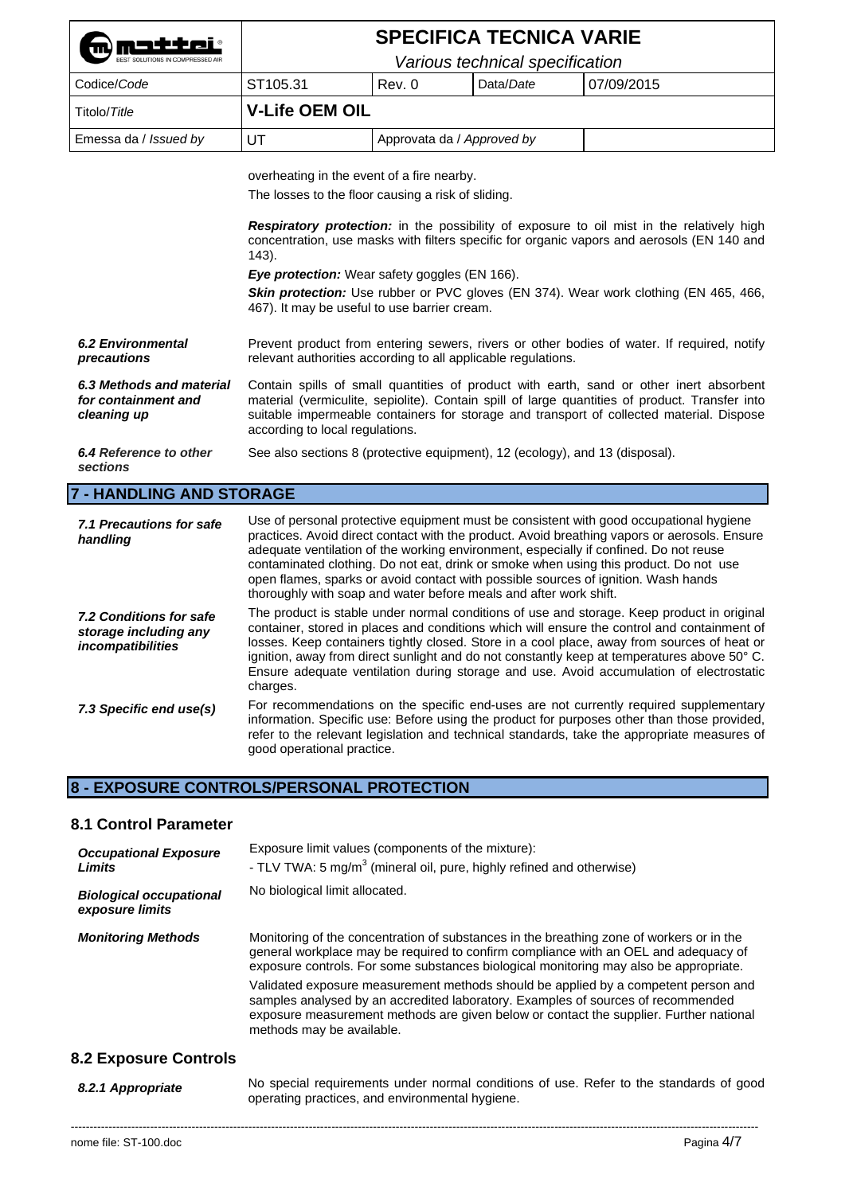| <b>Mondering Contract</b><br>BEST SOLUTIONS IN COMPRESSED AIR |                                 |                            | <b>SPECIFICA TECNICA VARIE</b> |            |
|---------------------------------------------------------------|---------------------------------|----------------------------|--------------------------------|------------|
|                                                               | Various technical specification |                            |                                |            |
| Codice/Code                                                   | ST105.31                        | Rev. 0                     | Data/Date                      | 07/09/2015 |
| Titolo/Title                                                  | <b>V-Life OEM OIL</b>           |                            |                                |            |
| Emessa da / Issued by                                         | UT                              | Approvata da / Approved by |                                |            |
|                                                               |                                 |                            |                                |            |

overheating in the event of a fire nearby.

The losses to the floor causing a risk of sliding.

**Respiratory protection:** in the possibility of exposure to oil mist in the relatively high concentration, use masks with filters specific for organic vapors and aerosols (EN 140 and 143).

**Eye protection:** Wear safety goggles (EN 166).

**Skin protection:** Use rubber or PVC gloves (EN 374). Wear work clothing (EN 465, 466, 467). It may be useful to use barrier cream.

*6.2 Environmental precautions*  Prevent product from entering sewers, rivers or other bodies of water. If required, notify relevant authorities according to all applicable regulations.

*6.3 Methods and material for containment and cleaning up*  Contain spills of small quantities of product with earth, sand or other inert absorbent material (vermiculite, sepiolite). Contain spill of large quantities of product. Transfer into suitable impermeable containers for storage and transport of collected material. Dispose according to local regulations.

#### *6.4 Reference to other*  See also sections 8 (protective equipment), 12 (ecology), and 13 (disposal).

*sections*

#### **7 - HANDLING AND STORAGE**

| 7.1 Precautions for safe<br>handling                                  | Use of personal protective equipment must be consistent with good occupational hygiene<br>practices. Avoid direct contact with the product. Avoid breathing vapors or aerosols. Ensure<br>adequate ventilation of the working environment, especially if confined. Do not reuse<br>contaminated clothing. Do not eat, drink or smoke when using this product. Do not use<br>open flames, sparks or avoid contact with possible sources of ignition. Wash hands<br>thoroughly with soap and water before meals and after work shift. |
|-----------------------------------------------------------------------|-------------------------------------------------------------------------------------------------------------------------------------------------------------------------------------------------------------------------------------------------------------------------------------------------------------------------------------------------------------------------------------------------------------------------------------------------------------------------------------------------------------------------------------|
| 7.2 Conditions for safe<br>storage including any<br>incompatibilities | The product is stable under normal conditions of use and storage. Keep product in original<br>container, stored in places and conditions which will ensure the control and containment of<br>losses. Keep containers tightly closed. Store in a cool place, away from sources of heat or<br>ignition, away from direct sunlight and do not constantly keep at temperatures above 50° C.<br>Ensure adequate ventilation during storage and use. Avoid accumulation of electrostatic<br>charges.                                      |
| 7.3 Specific end use(s)                                               | For recommendations on the specific end-uses are not currently required supplementary<br>information. Specific use: Before using the product for purposes other than those provided,<br>refer to the relevant legislation and technical standards, take the appropriate measures of<br>good operational practice.                                                                                                                                                                                                                   |

### **8 - EXPOSURE CONTROLS/PERSONAL PROTECTION**

#### **8.1 Control Parameter**

| <b>Occupational Exposure</b><br>Limits            | Exposure limit values (components of the mixture):<br>- TLV TWA: 5 mg/m <sup>3</sup> (mineral oil, pure, highly refined and otherwise)                                                                                                                                                                                                                                                                                                                                                                                                                                    |
|---------------------------------------------------|---------------------------------------------------------------------------------------------------------------------------------------------------------------------------------------------------------------------------------------------------------------------------------------------------------------------------------------------------------------------------------------------------------------------------------------------------------------------------------------------------------------------------------------------------------------------------|
| <b>Biological occupational</b><br>exposure limits | No biological limit allocated.                                                                                                                                                                                                                                                                                                                                                                                                                                                                                                                                            |
| <b>Monitoring Methods</b>                         | Monitoring of the concentration of substances in the breathing zone of workers or in the<br>general workplace may be required to confirm compliance with an OEL and adequacy of<br>exposure controls. For some substances biological monitoring may also be appropriate.<br>Validated exposure measurement methods should be applied by a competent person and<br>samples analysed by an accredited laboratory. Examples of sources of recommended<br>exposure measurement methods are given below or contact the supplier. Further national<br>methods may be available. |
| <b>8.2 Exposure Controls</b>                      |                                                                                                                                                                                                                                                                                                                                                                                                                                                                                                                                                                           |

*8.2.1 Appropriate* No special requirements under normal conditions of use. Refer to the standards of good operating practices, and environmental hygiene.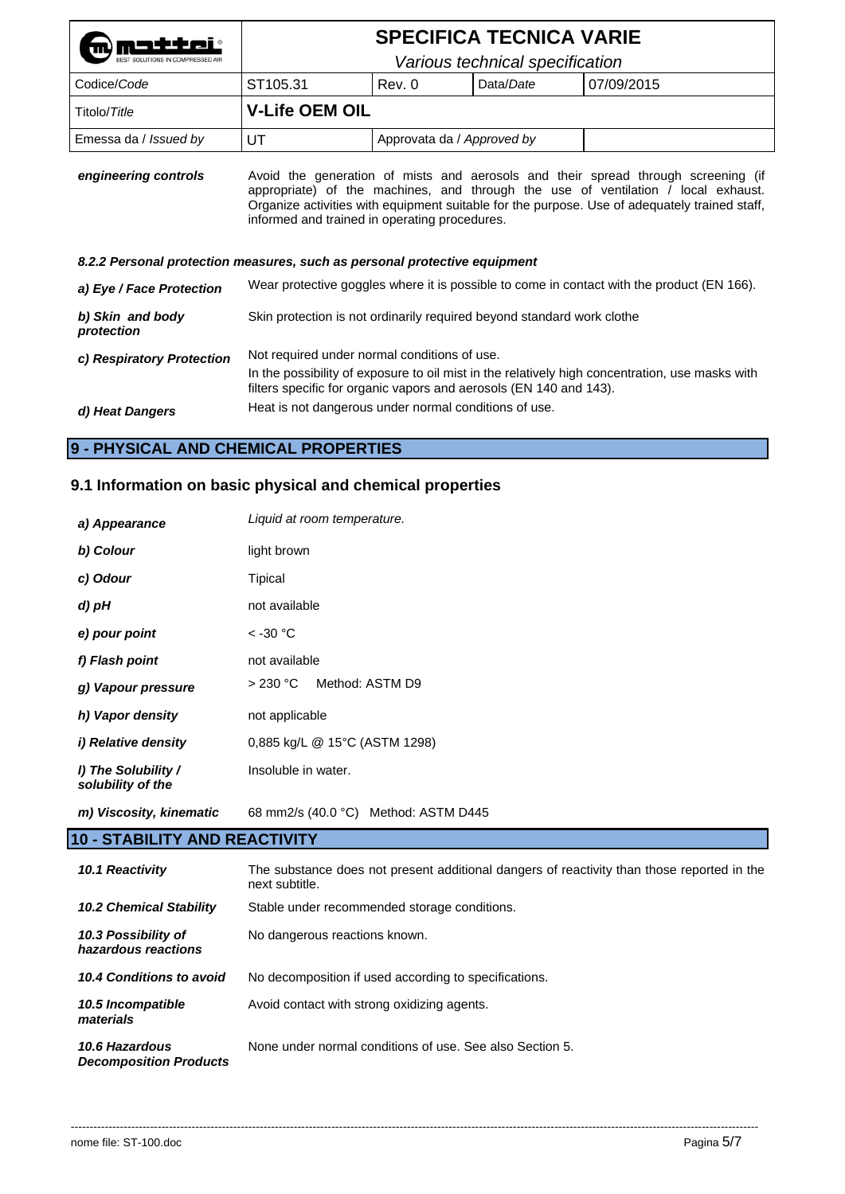|                                                                           | <b>SPECIFICA TECNICA VARIE</b>                                                                                                                                                                                                                                                                                           |                                 |           |                                                                                            |  |  |
|---------------------------------------------------------------------------|--------------------------------------------------------------------------------------------------------------------------------------------------------------------------------------------------------------------------------------------------------------------------------------------------------------------------|---------------------------------|-----------|--------------------------------------------------------------------------------------------|--|--|
|                                                                           |                                                                                                                                                                                                                                                                                                                          | Various technical specification |           |                                                                                            |  |  |
| Codice/Code                                                               | ST <sub>105.31</sub>                                                                                                                                                                                                                                                                                                     | Rev. 0                          | Data/Date | 07/09/2015                                                                                 |  |  |
| Titolo/Title                                                              | <b>V-Life OEM OIL</b>                                                                                                                                                                                                                                                                                                    |                                 |           |                                                                                            |  |  |
| Emessa da / Issued by                                                     | UT                                                                                                                                                                                                                                                                                                                       | Approvata da / Approved by      |           |                                                                                            |  |  |
| engineering controls                                                      | Avoid the generation of mists and aerosols and their spread through screening (if<br>appropriate) of the machines, and through the use of ventilation / local exhaust.<br>Organize activities with equipment suitable for the purpose. Use of adequately trained staff,<br>informed and trained in operating procedures. |                                 |           |                                                                                            |  |  |
| 8.2.2 Personal protection measures, such as personal protective equipment |                                                                                                                                                                                                                                                                                                                          |                                 |           |                                                                                            |  |  |
| a) Eye / Face Protection                                                  |                                                                                                                                                                                                                                                                                                                          |                                 |           | Wear protective goggles where it is possible to come in contact with the product (EN 166). |  |  |
| b) Skin and body<br>protection                                            | Skin protection is not ordinarily required beyond standard work clothe                                                                                                                                                                                                                                                   |                                 |           |                                                                                            |  |  |
| c) Respiratory Protection                                                 | Not required under normal conditions of use.<br>In the possibility of exposure to oil mist in the relatively high concentration, use masks with<br>filters specific for organic vapors and aerosols (EN 140 and 143).<br>Heat is not dangerous under normal conditions of use.                                           |                                 |           |                                                                                            |  |  |
| d) Heat Dangers                                                           |                                                                                                                                                                                                                                                                                                                          |                                 |           |                                                                                            |  |  |

# **9 - PHYSICAL AND CHEMICAL PROPERTIES**

# **9.1 Information on basic physical and chemical properties**

| a) Appearance                            | Liquid at room temperature.          |  |  |
|------------------------------------------|--------------------------------------|--|--|
| b) Colour                                | light brown                          |  |  |
| c) Odour                                 | Tipical                              |  |  |
| d) pH                                    | not available                        |  |  |
| e) pour point                            | $<$ -30 °C                           |  |  |
| f) Flash point                           | not available                        |  |  |
| g) Vapour pressure                       | Method: ASTM D9<br>>230 °C           |  |  |
| h) Vapor density                         | not applicable                       |  |  |
| <i>i)</i> Relative density               | 0,885 kg/L @ 15°C (ASTM 1298)        |  |  |
| I) The Solubility /<br>solubility of the | Insoluble in water.                  |  |  |
| m) Viscosity, kinematic                  | 68 mm2/s (40.0 °C) Method: ASTM D445 |  |  |

# **10 - STABILITY AND REACTIVITY**

| 10.1 Reactivity                                 | The substance does not present additional dangers of reactivity than those reported in the<br>next subtitle. |
|-------------------------------------------------|--------------------------------------------------------------------------------------------------------------|
| <b>10.2 Chemical Stability</b>                  | Stable under recommended storage conditions.                                                                 |
| 10.3 Possibility of<br>hazardous reactions      | No dangerous reactions known.                                                                                |
| 10.4 Conditions to avoid                        | No decomposition if used according to specifications.                                                        |
| 10.5 Incompatible<br>materials                  | Avoid contact with strong oxidizing agents.                                                                  |
| 10.6 Hazardous<br><b>Decomposition Products</b> | None under normal conditions of use. See also Section 5.                                                     |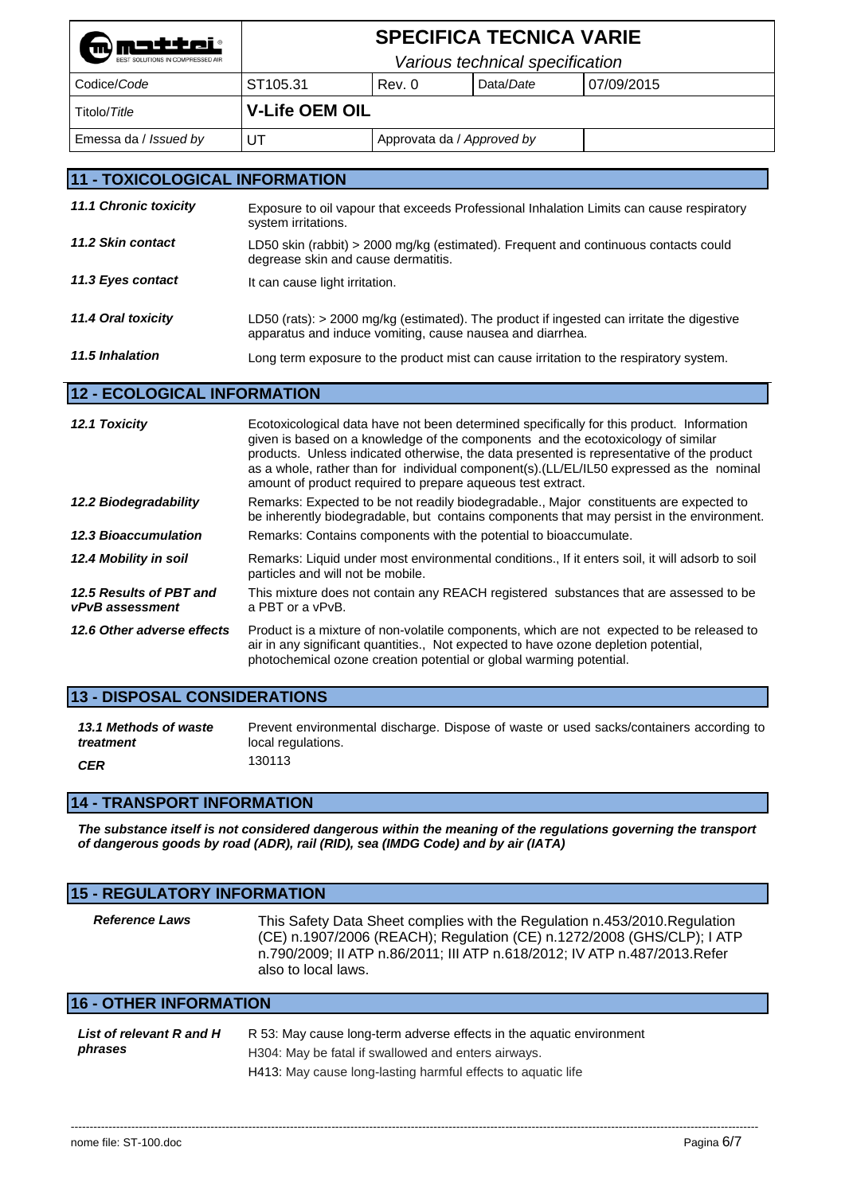| mmatter<br>BEST SOLUTIONS IN COMPRESSED AIR |                                 |                            | <b>SPECIFICA TECNICA VARIE</b> |            |
|---------------------------------------------|---------------------------------|----------------------------|--------------------------------|------------|
|                                             | Various technical specification |                            |                                |            |
| Codice/Code                                 | ST105.31                        | Rev. 0                     | Data/Date                      | 07/09/2015 |
| Titolo/Title                                | <b>V-Life OEM OIL</b>           |                            |                                |            |
| Emessa da / Issued by                       | UТ                              | Approvata da / Approved by |                                |            |
|                                             |                                 |                            |                                |            |

# **11 - TOXICOLOGICAL INFORMATION**

| <b>11.1 Chronic toxicity</b> | Exposure to oil vapour that exceeds Professional Inhalation Limits can cause respiratory<br>system irritations.                                          |
|------------------------------|----------------------------------------------------------------------------------------------------------------------------------------------------------|
| 11.2 Skin contact            | LD50 skin (rabbit) > 2000 mg/kg (estimated). Frequent and continuous contacts could<br>degrease skin and cause dermatitis.                               |
| 11.3 Eyes contact            | It can cause light irritation.                                                                                                                           |
| 11.4 Oral toxicity           | LD50 (rats): $>$ 2000 mg/kg (estimated). The product if ingested can irritate the digestive<br>apparatus and induce vomiting, cause nausea and diarrhea. |
| 11.5 Inhalation              | Long term exposure to the product mist can cause irritation to the respiratory system.                                                                   |

# **12 - ECOLOGICAL INFORMATION**

| 12.1 Toxicity                              | Ecotoxicological data have not been determined specifically for this product. Information<br>given is based on a knowledge of the components and the ecotoxicology of similar<br>products. Unless indicated otherwise, the data presented is representative of the product<br>as a whole, rather than for individual component(s).(LL/EL/IL50 expressed as the nominal<br>amount of product required to prepare aqueous test extract. |
|--------------------------------------------|---------------------------------------------------------------------------------------------------------------------------------------------------------------------------------------------------------------------------------------------------------------------------------------------------------------------------------------------------------------------------------------------------------------------------------------|
| 12.2 Biodegradability                      | Remarks: Expected to be not readily biodegradable., Major constituents are expected to<br>be inherently biodegradable, but contains components that may persist in the environment.                                                                                                                                                                                                                                                   |
| <b>12.3 Bioaccumulation</b>                | Remarks: Contains components with the potential to bioaccumulate.                                                                                                                                                                                                                                                                                                                                                                     |
| 12.4 Mobility in soil                      | Remarks: Liquid under most environmental conditions., If it enters soil, it will adsorb to soil<br>particles and will not be mobile.                                                                                                                                                                                                                                                                                                  |
| 12.5 Results of PBT and<br>vPvB assessment | This mixture does not contain any REACH registered substances that are assessed to be<br>a PBT or a vPvB.                                                                                                                                                                                                                                                                                                                             |
| 12.6 Other adverse effects                 | Product is a mixture of non-volatile components, which are not expected to be released to<br>air in any significant quantities., Not expected to have ozone depletion potential,<br>photochemical ozone creation potential or global warming potential.                                                                                                                                                                               |

# **13 - DISPOSAL CONSIDERATIONS**

| 13.1 Methods of waste | Prevent environmental discharge. Dispose of waste or used sacks/containers according to |
|-----------------------|-----------------------------------------------------------------------------------------|
| treatment             | local regulations.                                                                      |
| <b>CER</b>            | 130113                                                                                  |

# **14 - TRANSPORT INFORMATION**

*The substance itself is not considered dangerous within the meaning of the regulations governing the transport of dangerous goods by road (ADR), rail (RID), sea (IMDG Code) and by air (IATA)* 

| <b>15 - REGULATORY INFORMATION</b>  |                                                                                                                                                                                                                                                          |  |  |  |  |  |
|-------------------------------------|----------------------------------------------------------------------------------------------------------------------------------------------------------------------------------------------------------------------------------------------------------|--|--|--|--|--|
| <b>Reference Laws</b>               | This Safety Data Sheet complies with the Regulation n.453/2010. Regulation<br>(CE) n.1907/2006 (REACH); Regulation (CE) n.1272/2008 (GHS/CLP); I ATP<br>n.790/2009; II ATP n.86/2011; III ATP n.618/2012; IV ATP n.487/2013.Refer<br>also to local laws. |  |  |  |  |  |
| <b>16 - OTHER INFORMATION</b>       |                                                                                                                                                                                                                                                          |  |  |  |  |  |
| List of relevant R and H<br>phrases | R 53: May cause long-term adverse effects in the aguatic environment<br>H304: May be fatal if swallowed and enters airways                                                                                                                               |  |  |  |  |  |

H304: May be fatal if swallowed and enters airways.

H413: May cause long-lasting harmful effects to aquatic life